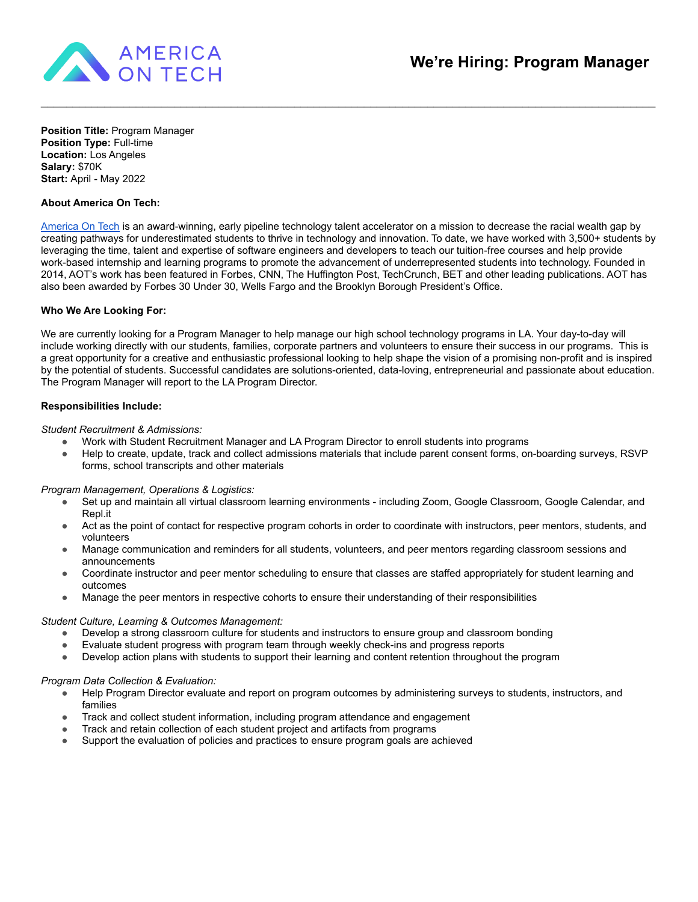

**Position Title:** Program Manager **Position Type:** Full-time **Location:** Los Angeles **Salary:** \$70K **Start:** April - May 2022

# **About America On Tech:**

[America On Tech](https://www.americaontech.org/) is an award-winning, early pipeline technology talent accelerator on a mission to decrease the racial wealth gap by creating pathways for underestimated students to thrive in technology and innovation. To date, we have worked with 3,500+ students by leveraging the time, talent and expertise of software engineers and developers to teach our tuition-free courses and help provide work-based internship and learning programs to promote the advancement of underrepresented students into technology. Founded in 2014, AOT's work has been featured in Forbes, CNN, The Huffington Post, TechCrunch, BET and other leading publications. AOT has also been awarded by Forbes 30 Under 30, Wells Fargo and the Brooklyn Borough President's Office.

 $\mathcal{L}_\mathcal{L} = \mathcal{L}_\mathcal{L} = \mathcal{L}_\mathcal{L} = \mathcal{L}_\mathcal{L} = \mathcal{L}_\mathcal{L} = \mathcal{L}_\mathcal{L} = \mathcal{L}_\mathcal{L} = \mathcal{L}_\mathcal{L} = \mathcal{L}_\mathcal{L} = \mathcal{L}_\mathcal{L} = \mathcal{L}_\mathcal{L} = \mathcal{L}_\mathcal{L} = \mathcal{L}_\mathcal{L} = \mathcal{L}_\mathcal{L} = \mathcal{L}_\mathcal{L} = \mathcal{L}_\mathcal{L} = \mathcal{L}_\mathcal{L}$ 

# **Who We Are Looking For:**

We are currently looking for a Program Manager to help manage our high school technology programs in LA. Your day-to-day will include working directly with our students, families, corporate partners and volunteers to ensure their success in our programs. This is a great opportunity for a creative and enthusiastic professional looking to help shape the vision of a promising non-profit and is inspired by the potential of students. Successful candidates are solutions-oriented, data-loving, entrepreneurial and passionate about education. The Program Manager will report to the LA Program Director.

# **Responsibilities Include:**

*Student Recruitment & Admissions:*

- Work with Student Recruitment Manager and LA Program Director to enroll students into programs
- Help to create, update, track and collect admissions materials that include parent consent forms, on-boarding surveys, RSVP forms, school transcripts and other materials

*Program Management, Operations & Logistics:*

- Set up and maintain all virtual classroom learning environments including Zoom, Google Classroom, Google Calendar, and Repl.it
- Act as the point of contact for respective program cohorts in order to coordinate with instructors, peer mentors, students, and volunteers
- Manage communication and reminders for all students, volunteers, and peer mentors regarding classroom sessions and announcements
- Coordinate instructor and peer mentor scheduling to ensure that classes are staffed appropriately for student learning and outcomes
- Manage the peer mentors in respective cohorts to ensure their understanding of their responsibilities

#### *Student Culture, Learning & Outcomes Management:*

- Develop a strong classroom culture for students and instructors to ensure group and classroom bonding
- Evaluate student progress with program team through weekly check-ins and progress reports
- Develop action plans with students to support their learning and content retention throughout the program

#### *Program Data Collection & Evaluation:*

- Help Program Director evaluate and report on program outcomes by administering surveys to students, instructors, and families
- Track and collect student information, including program attendance and engagement
- Track and retain collection of each student project and artifacts from programs
- Support the evaluation of policies and practices to ensure program goals are achieved